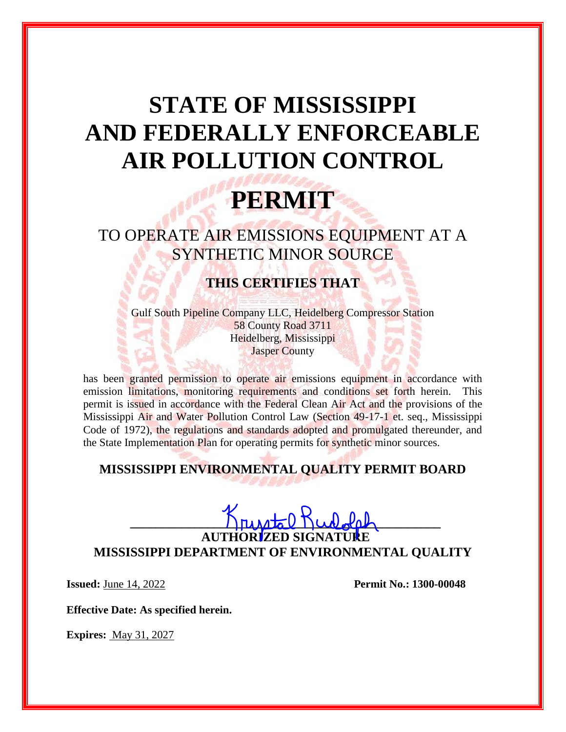# **STATE OF MISSISSIPPI AND FEDERALLY ENFORCEABLE AIR POLLUTION CONTROL**

## **PERMIT**

TO OPERATE AIR EMISSIONS EQUIPMENT AT A SYNTHETIC MINOR SOURCE

### **THIS CERTIFIES THAT**

Gulf South Pipeline Company LLC, Heidelberg Compressor Station 58 County Road 3711 Heidelberg, Mississippi Jasper County

has been granted permission to operate air emissions equipment in accordance with emission limitations, monitoring requirements and conditions set forth herein. This permit is issued in accordance with the Federal Clean Air Act and the provisions of the Mississippi Air and Water Pollution Control Law (Section 49-17-1 et. seq., Mississippi Code of 1972), the regulations and standards adopted and promulgated thereunder, and the State Implementation Plan for operating permits for synthetic minor sources.

### **MISSISSIPPI ENVIRONMENTAL QUALITY PERMIT BOARD**

## $K_{\text{nu}}\text{at}(k_{\text{u}},k_{\text{u}})$ **AUTH**

**MISSISSIPPI DEPARTMENT OF ENVIRONMENTAL QUALITY**

**Issued:** June 14, 2022 **Permit No.: 1300-00048** 

**Effective Date: As specified herein.**

**Expires:** May 31, 2027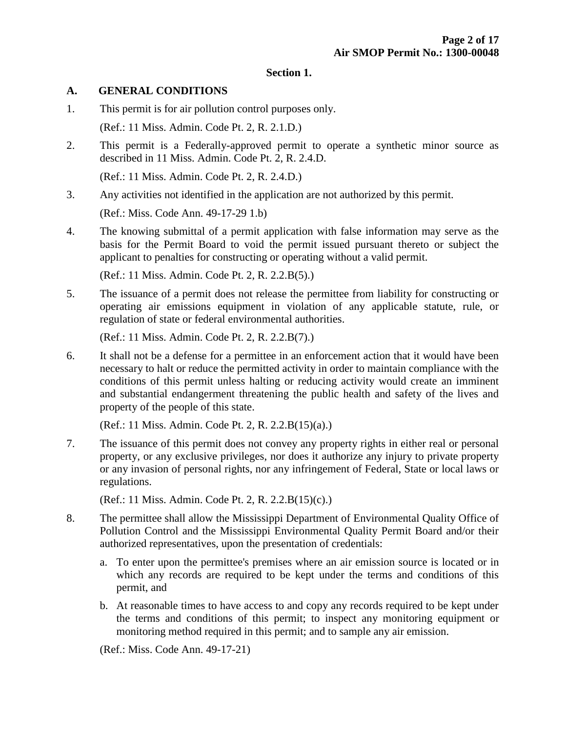#### **Section 1.**

#### **A. GENERAL CONDITIONS**

- 1. This permit is for air pollution control purposes only. (Ref.: 11 Miss. Admin. Code Pt. 2, R. 2.1.D.)
- 2. This permit is a Federally-approved permit to operate a synthetic minor source as described in 11 Miss. Admin. Code Pt. 2, R. 2.4.D.

(Ref.: 11 Miss. Admin. Code Pt. 2, R. 2.4.D.)

3. Any activities not identified in the application are not authorized by this permit.

(Ref.: Miss. Code Ann. 49-17-29 1.b)

4. The knowing submittal of a permit application with false information may serve as the basis for the Permit Board to void the permit issued pursuant thereto or subject the applicant to penalties for constructing or operating without a valid permit.

(Ref.: 11 Miss. Admin. Code Pt. 2, R. 2.2.B(5).)

5. The issuance of a permit does not release the permittee from liability for constructing or operating air emissions equipment in violation of any applicable statute, rule, or regulation of state or federal environmental authorities.

(Ref.: 11 Miss. Admin. Code Pt. 2, R. 2.2.B(7).)

6. It shall not be a defense for a permittee in an enforcement action that it would have been necessary to halt or reduce the permitted activity in order to maintain compliance with the conditions of this permit unless halting or reducing activity would create an imminent and substantial endangerment threatening the public health and safety of the lives and property of the people of this state.

(Ref.: 11 Miss. Admin. Code Pt. 2, R. 2.2.B(15)(a).)

7. The issuance of this permit does not convey any property rights in either real or personal property, or any exclusive privileges, nor does it authorize any injury to private property or any invasion of personal rights, nor any infringement of Federal, State or local laws or regulations.

(Ref.: 11 Miss. Admin. Code Pt. 2, R. 2.2.B(15)(c).)

- 8. The permittee shall allow the Mississippi Department of Environmental Quality Office of Pollution Control and the Mississippi Environmental Quality Permit Board and/or their authorized representatives, upon the presentation of credentials:
	- a. To enter upon the permittee's premises where an air emission source is located or in which any records are required to be kept under the terms and conditions of this permit, and
	- b. At reasonable times to have access to and copy any records required to be kept under the terms and conditions of this permit; to inspect any monitoring equipment or monitoring method required in this permit; and to sample any air emission.

(Ref.: Miss. Code Ann. 49-17-21)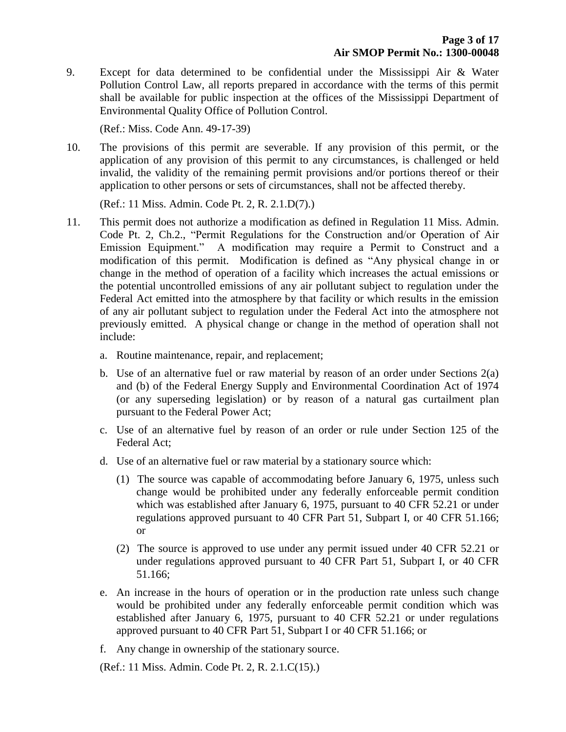9. Except for data determined to be confidential under the Mississippi Air & Water Pollution Control Law, all reports prepared in accordance with the terms of this permit shall be available for public inspection at the offices of the Mississippi Department of Environmental Quality Office of Pollution Control.

(Ref.: Miss. Code Ann. 49-17-39)

10. The provisions of this permit are severable. If any provision of this permit, or the application of any provision of this permit to any circumstances, is challenged or held invalid, the validity of the remaining permit provisions and/or portions thereof or their application to other persons or sets of circumstances, shall not be affected thereby.

(Ref.: 11 Miss. Admin. Code Pt. 2, R. 2.1.D(7).)

- 11. This permit does not authorize a modification as defined in Regulation 11 Miss. Admin. Code Pt. 2, Ch.2., "Permit Regulations for the Construction and/or Operation of Air Emission Equipment." A modification may require a Permit to Construct and a modification of this permit. Modification is defined as "Any physical change in or change in the method of operation of a facility which increases the actual emissions or the potential uncontrolled emissions of any air pollutant subject to regulation under the Federal Act emitted into the atmosphere by that facility or which results in the emission of any air pollutant subject to regulation under the Federal Act into the atmosphere not previously emitted. A physical change or change in the method of operation shall not include:
	- a. Routine maintenance, repair, and replacement;
	- b. Use of an alternative fuel or raw material by reason of an order under Sections 2(a) and (b) of the Federal Energy Supply and Environmental Coordination Act of 1974 (or any superseding legislation) or by reason of a natural gas curtailment plan pursuant to the Federal Power Act;
	- c. Use of an alternative fuel by reason of an order or rule under Section 125 of the Federal Act;
	- d. Use of an alternative fuel or raw material by a stationary source which:
		- (1) The source was capable of accommodating before January 6, 1975, unless such change would be prohibited under any federally enforceable permit condition which was established after January 6, 1975, pursuant to 40 CFR 52.21 or under regulations approved pursuant to 40 CFR Part 51, Subpart I, or 40 CFR 51.166; or
		- (2) The source is approved to use under any permit issued under 40 CFR 52.21 or under regulations approved pursuant to 40 CFR Part 51, Subpart I, or 40 CFR 51.166;
	- e. An increase in the hours of operation or in the production rate unless such change would be prohibited under any federally enforceable permit condition which was established after January 6, 1975, pursuant to 40 CFR 52.21 or under regulations approved pursuant to 40 CFR Part 51, Subpart I or 40 CFR 51.166; or
	- f. Any change in ownership of the stationary source.

(Ref.: 11 Miss. Admin. Code Pt. 2, R. 2.1.C(15).)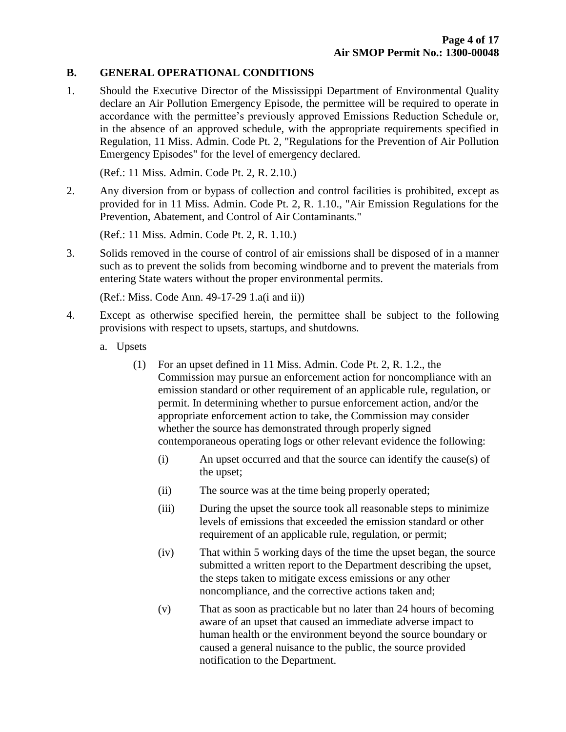#### **B. GENERAL OPERATIONAL CONDITIONS**

1. Should the Executive Director of the Mississippi Department of Environmental Quality declare an Air Pollution Emergency Episode, the permittee will be required to operate in accordance with the permittee's previously approved Emissions Reduction Schedule or, in the absence of an approved schedule, with the appropriate requirements specified in Regulation, 11 Miss. Admin. Code Pt. 2, "Regulations for the Prevention of Air Pollution Emergency Episodes" for the level of emergency declared.

(Ref.: 11 Miss. Admin. Code Pt. 2, R. 2.10.)

2. Any diversion from or bypass of collection and control facilities is prohibited, except as provided for in 11 Miss. Admin. Code Pt. 2, R. 1.10., "Air Emission Regulations for the Prevention, Abatement, and Control of Air Contaminants."

(Ref.: 11 Miss. Admin. Code Pt. 2, R. 1.10.)

3. Solids removed in the course of control of air emissions shall be disposed of in a manner such as to prevent the solids from becoming windborne and to prevent the materials from entering State waters without the proper environmental permits.

(Ref.: Miss. Code Ann. 49-17-29 1.a(i and ii))

- 4. Except as otherwise specified herein, the permittee shall be subject to the following provisions with respect to upsets, startups, and shutdowns.
	- a. Upsets
		- (1) For an upset defined in 11 Miss. Admin. Code Pt. 2, R. 1.2., the Commission may pursue an enforcement action for noncompliance with an emission standard or other requirement of an applicable rule, regulation, or permit. In determining whether to pursue enforcement action, and/or the appropriate enforcement action to take, the Commission may consider whether the source has demonstrated through properly signed contemporaneous operating logs or other relevant evidence the following:
			- (i) An upset occurred and that the source can identify the cause(s) of the upset;
			- (ii) The source was at the time being properly operated;
			- (iii) During the upset the source took all reasonable steps to minimize levels of emissions that exceeded the emission standard or other requirement of an applicable rule, regulation, or permit;
			- (iv) That within 5 working days of the time the upset began, the source submitted a written report to the Department describing the upset, the steps taken to mitigate excess emissions or any other noncompliance, and the corrective actions taken and;
			- (v) That as soon as practicable but no later than 24 hours of becoming aware of an upset that caused an immediate adverse impact to human health or the environment beyond the source boundary or caused a general nuisance to the public, the source provided notification to the Department.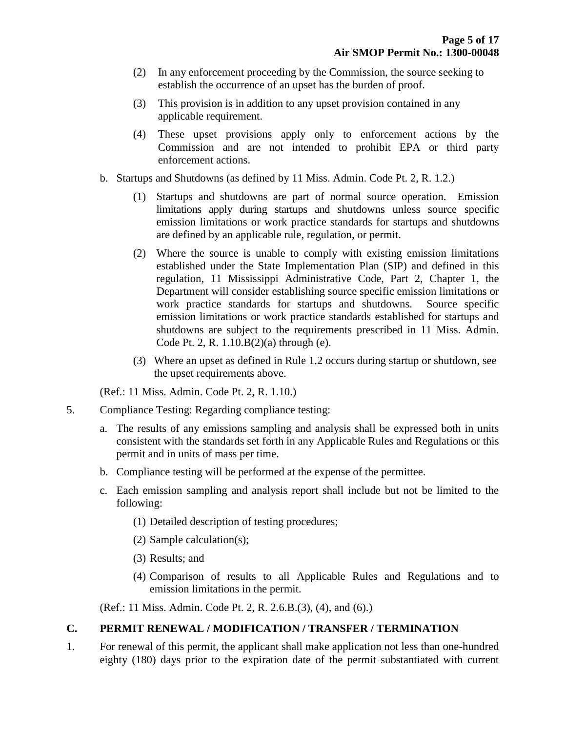- (2) In any enforcement proceeding by the Commission, the source seeking to establish the occurrence of an upset has the burden of proof.
- (3) This provision is in addition to any upset provision contained in any applicable requirement.
- (4) These upset provisions apply only to enforcement actions by the Commission and are not intended to prohibit EPA or third party enforcement actions.
- b. Startups and Shutdowns (as defined by 11 Miss. Admin. Code Pt. 2, R. 1.2.)
	- (1) Startups and shutdowns are part of normal source operation. Emission limitations apply during startups and shutdowns unless source specific emission limitations or work practice standards for startups and shutdowns are defined by an applicable rule, regulation, or permit.
	- (2) Where the source is unable to comply with existing emission limitations established under the State Implementation Plan (SIP) and defined in this regulation, 11 Mississippi Administrative Code, Part 2, Chapter 1, the Department will consider establishing source specific emission limitations or work practice standards for startups and shutdowns. Source specific emission limitations or work practice standards established for startups and shutdowns are subject to the requirements prescribed in 11 Miss. Admin. Code Pt. 2, R. 1.10.B(2)(a) through (e).
	- (3) Where an upset as defined in Rule 1.2 occurs during startup or shutdown, see the upset requirements above.

(Ref.: 11 Miss. Admin. Code Pt. 2, R. 1.10.)

- 5. Compliance Testing: Regarding compliance testing:
	- a. The results of any emissions sampling and analysis shall be expressed both in units consistent with the standards set forth in any Applicable Rules and Regulations or this permit and in units of mass per time.
	- b. Compliance testing will be performed at the expense of the permittee.
	- c. Each emission sampling and analysis report shall include but not be limited to the following:
		- (1) Detailed description of testing procedures;
		- (2) Sample calculation(s);
		- (3) Results; and
		- (4) Comparison of results to all Applicable Rules and Regulations and to emission limitations in the permit.

(Ref.: 11 Miss. Admin. Code Pt. 2, R. 2.6.B.(3), (4), and (6).)

#### **C. PERMIT RENEWAL / MODIFICATION / TRANSFER / TERMINATION**

1. For renewal of this permit, the applicant shall make application not less than one-hundred eighty (180) days prior to the expiration date of the permit substantiated with current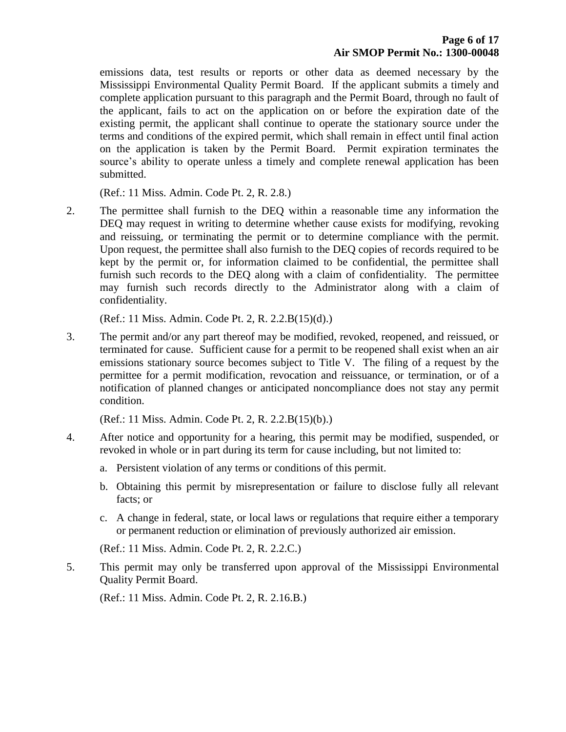emissions data, test results or reports or other data as deemed necessary by the Mississippi Environmental Quality Permit Board. If the applicant submits a timely and complete application pursuant to this paragraph and the Permit Board, through no fault of the applicant, fails to act on the application on or before the expiration date of the existing permit, the applicant shall continue to operate the stationary source under the terms and conditions of the expired permit, which shall remain in effect until final action on the application is taken by the Permit Board. Permit expiration terminates the source's ability to operate unless a timely and complete renewal application has been submitted.

(Ref.: 11 Miss. Admin. Code Pt. 2, R. 2.8.)

2. The permittee shall furnish to the DEQ within a reasonable time any information the DEQ may request in writing to determine whether cause exists for modifying, revoking and reissuing, or terminating the permit or to determine compliance with the permit. Upon request, the permittee shall also furnish to the DEQ copies of records required to be kept by the permit or, for information claimed to be confidential, the permittee shall furnish such records to the DEQ along with a claim of confidentiality. The permittee may furnish such records directly to the Administrator along with a claim of confidentiality.

(Ref.: 11 Miss. Admin. Code Pt. 2, R. 2.2.B(15)(d).)

3. The permit and/or any part thereof may be modified, revoked, reopened, and reissued, or terminated for cause. Sufficient cause for a permit to be reopened shall exist when an air emissions stationary source becomes subject to Title V. The filing of a request by the permittee for a permit modification, revocation and reissuance, or termination, or of a notification of planned changes or anticipated noncompliance does not stay any permit condition.

(Ref.: 11 Miss. Admin. Code Pt. 2, R. 2.2.B(15)(b).)

- 4. After notice and opportunity for a hearing, this permit may be modified, suspended, or revoked in whole or in part during its term for cause including, but not limited to:
	- a. Persistent violation of any terms or conditions of this permit.
	- b. Obtaining this permit by misrepresentation or failure to disclose fully all relevant facts; or
	- c. A change in federal, state, or local laws or regulations that require either a temporary or permanent reduction or elimination of previously authorized air emission.

(Ref.: 11 Miss. Admin. Code Pt. 2, R. 2.2.C.)

5. This permit may only be transferred upon approval of the Mississippi Environmental Quality Permit Board.

(Ref.: 11 Miss. Admin. Code Pt. 2, R. 2.16.B.)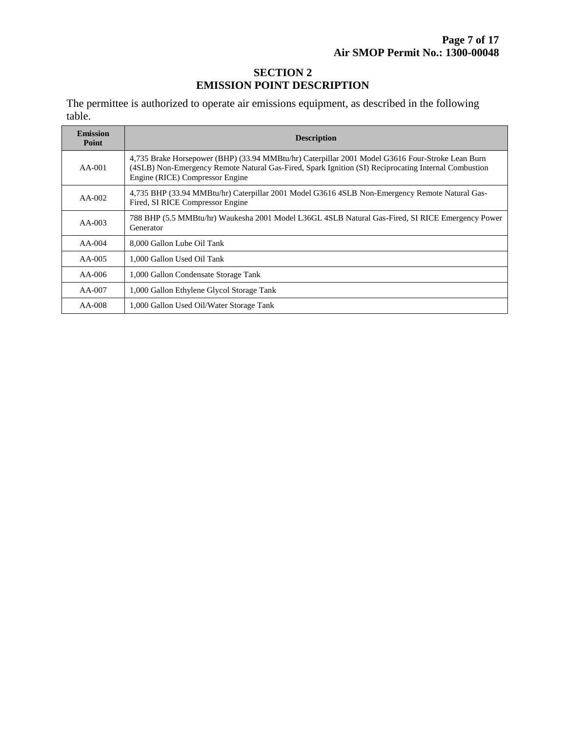#### **SECTION 2 EMISSION POINT DESCRIPTION**

The permittee is authorized to operate air emissions equipment, as described in the following table.

| <b>Emission</b><br>Point | <b>Description</b>                                                                                                                                                                                                                          |  |  |
|--------------------------|---------------------------------------------------------------------------------------------------------------------------------------------------------------------------------------------------------------------------------------------|--|--|
| $AA-001$                 | 4,735 Brake Horsepower (BHP) (33.94 MMBtu/hr) Caterpillar 2001 Model G3616 Four-Stroke Lean Burn<br>(4SLB) Non-Emergency Remote Natural Gas-Fired, Spark Ignition (SI) Reciprocating Internal Combustion<br>Engine (RICE) Compressor Engine |  |  |
| $AA-002$                 | 4,735 BHP (33.94 MMBtu/hr) Caterpillar 2001 Model G3616 4SLB Non-Emergency Remote Natural Gas-<br>Fired, SI RICE Compressor Engine                                                                                                          |  |  |
| $AA-003$                 | 788 BHP (5.5 MMBtu/hr) Waukesha 2001 Model L36GL 4SLB Natural Gas-Fired, SI RICE Emergency Power<br>Generator                                                                                                                               |  |  |
| $AA-004$                 | 8,000 Gallon Lube Oil Tank                                                                                                                                                                                                                  |  |  |
| $AA-005$                 | 1,000 Gallon Used Oil Tank                                                                                                                                                                                                                  |  |  |
| $AA-006$                 | 1,000 Gallon Condensate Storage Tank                                                                                                                                                                                                        |  |  |
| $AA-007$                 | 1,000 Gallon Ethylene Glycol Storage Tank                                                                                                                                                                                                   |  |  |
| $AA-008$                 | 1,000 Gallon Used Oil/Water Storage Tank                                                                                                                                                                                                    |  |  |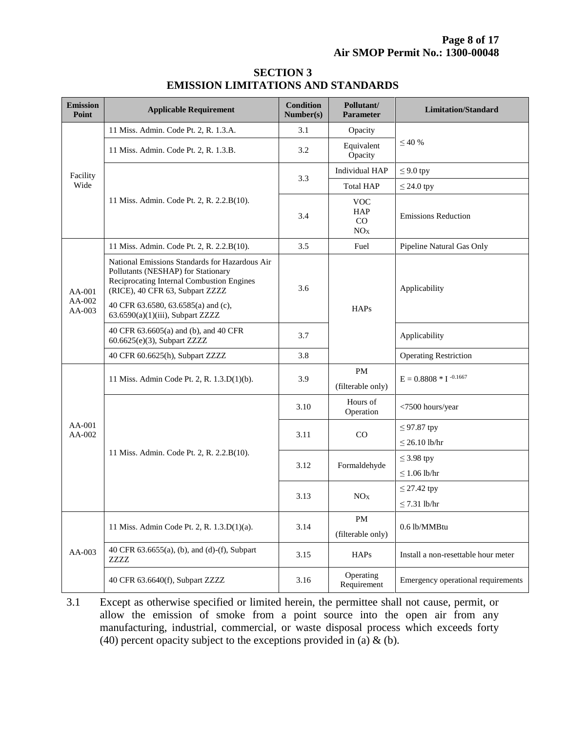| <b>Emission</b><br>Point       | <b>Applicable Requirement</b>                                                                                                                                                                               | <b>Condition</b><br>Number(s) | Pollutant/<br><b>Parameter</b>                    | <b>Limitation/Standard</b>             |  |
|--------------------------------|-------------------------------------------------------------------------------------------------------------------------------------------------------------------------------------------------------------|-------------------------------|---------------------------------------------------|----------------------------------------|--|
| Facility<br>Wide               | 11 Miss. Admin. Code Pt. 2, R. 1.3.A.                                                                                                                                                                       | 3.1                           | Opacity                                           |                                        |  |
|                                | 11 Miss. Admin. Code Pt. 2, R. 1.3.B.                                                                                                                                                                       | 3.2                           | Equivalent<br>Opacity                             | $\leq 40\%$                            |  |
|                                |                                                                                                                                                                                                             | 3.3                           | Individual HAP                                    | $\leq$ 9.0 tpy                         |  |
|                                |                                                                                                                                                                                                             |                               | <b>Total HAP</b>                                  | $\leq$ 24.0 tpy                        |  |
|                                | 11 Miss. Admin. Code Pt. 2, R. 2.2.B(10).                                                                                                                                                                   | 3.4                           | <b>VOC</b><br><b>HAP</b><br>CO<br>NO <sub>X</sub> | <b>Emissions Reduction</b>             |  |
| $AA-001$<br>$AA-002$<br>AA-003 | 11 Miss. Admin. Code Pt. 2, R. 2.2.B(10).                                                                                                                                                                   | 3.5                           | Fuel                                              | Pipeline Natural Gas Only              |  |
|                                | National Emissions Standards for Hazardous Air<br>Pollutants (NESHAP) for Stationary<br>Reciprocating Internal Combustion Engines<br>(RICE), 40 CFR 63, Subpart ZZZZ<br>40 CFR 63.6580, 63.6585(a) and (c), | 3.6                           |                                                   | Applicability                          |  |
|                                | $63.6590(a)(1)(iii)$ , Subpart ZZZZ                                                                                                                                                                         |                               | <b>HAPs</b>                                       |                                        |  |
|                                | 40 CFR 63.6605(a) and (b), and 40 CFR<br>60.6625(e)(3), Subpart ZZZZ                                                                                                                                        | 3.7                           |                                                   | Applicability                          |  |
|                                | 40 CFR 60.6625(h), Subpart ZZZZ                                                                                                                                                                             | 3.8                           |                                                   | <b>Operating Restriction</b>           |  |
| $AA-001$<br>AA-002             | 11 Miss. Admin Code Pt. 2, R. 1.3.D(1)(b).                                                                                                                                                                  | 3.9                           | <b>PM</b><br>(filterable only)                    | $E = 0.8808 * I^{-0.1667}$             |  |
|                                |                                                                                                                                                                                                             | 3.10                          | Hours of<br>Operation                             | <7500 hours/year                       |  |
|                                | 11 Miss. Admin. Code Pt. 2, R. 2.2.B(10).                                                                                                                                                                   | 3.11                          | CO                                                | $\leq$ 97.87 tpy<br>$\leq$ 26.10 lb/hr |  |
|                                |                                                                                                                                                                                                             | 3.12                          | Formaldehyde                                      | $\leq$ 3.98 tpy<br>$\leq 1.06$ lb/hr   |  |
|                                |                                                                                                                                                                                                             | 3.13                          | NO <sub>X</sub>                                   | $\leq$ 27.42 tpy<br>$\leq$ 7.31 lb/hr  |  |
| AA-003                         | 11 Miss. Admin Code Pt. 2, R. 1.3.D(1)(a).                                                                                                                                                                  | 3.14                          | PM<br>(filterable only)                           | 0.6 lb/MMBtu                           |  |
|                                | 40 CFR 63.6655(a), (b), and (d)-(f), Subpart<br>ZZZZ                                                                                                                                                        | 3.15                          | <b>HAPs</b>                                       | Install a non-resettable hour meter    |  |
|                                | 40 CFR 63.6640(f), Subpart ZZZZ                                                                                                                                                                             | 3.16                          | Operating<br>Requirement                          | Emergency operational requirements     |  |

#### **SECTION 3 EMISSION LIMITATIONS AND STANDARDS**

3.1 Except as otherwise specified or limited herein, the permittee shall not cause, permit, or allow the emission of smoke from a point source into the open air from any manufacturing, industrial, commercial, or waste disposal process which exceeds forty (40) percent opacity subject to the exceptions provided in (a)  $\&$  (b).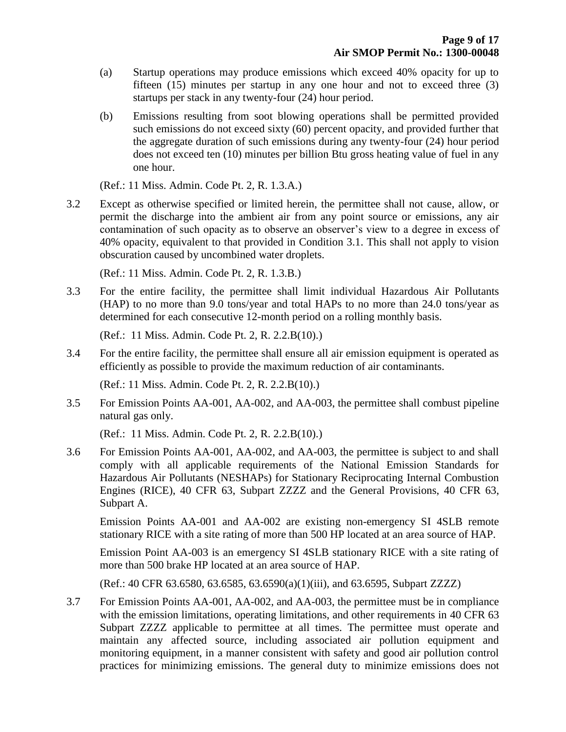- (a) Startup operations may produce emissions which exceed 40% opacity for up to fifteen (15) minutes per startup in any one hour and not to exceed three (3) startups per stack in any twenty-four (24) hour period.
- (b) Emissions resulting from soot blowing operations shall be permitted provided such emissions do not exceed sixty (60) percent opacity, and provided further that the aggregate duration of such emissions during any twenty-four (24) hour period does not exceed ten (10) minutes per billion Btu gross heating value of fuel in any one hour.

(Ref.: 11 Miss. Admin. Code Pt. 2, R. 1.3.A.)

3.2 Except as otherwise specified or limited herein, the permittee shall not cause, allow, or permit the discharge into the ambient air from any point source or emissions, any air contamination of such opacity as to observe an observer's view to a degree in excess of 40% opacity, equivalent to that provided in Condition 3.1. This shall not apply to vision obscuration caused by uncombined water droplets.

(Ref.: 11 Miss. Admin. Code Pt. 2, R. 1.3.B.)

3.3 For the entire facility, the permittee shall limit individual Hazardous Air Pollutants (HAP) to no more than 9.0 tons/year and total HAPs to no more than 24.0 tons/year as determined for each consecutive 12-month period on a rolling monthly basis.

(Ref.: 11 Miss. Admin. Code Pt. 2, R. 2.2.B(10).)

3.4 For the entire facility, the permittee shall ensure all air emission equipment is operated as efficiently as possible to provide the maximum reduction of air contaminants.

(Ref.: 11 Miss. Admin. Code Pt. 2, R. 2.2.B(10).)

3.5 For Emission Points AA-001, AA-002, and AA-003, the permittee shall combust pipeline natural gas only.

(Ref.: 11 Miss. Admin. Code Pt. 2, R. 2.2.B(10).)

3.6 For Emission Points AA-001, AA-002, and AA-003, the permittee is subject to and shall comply with all applicable requirements of the National Emission Standards for Hazardous Air Pollutants (NESHAPs) for Stationary Reciprocating Internal Combustion Engines (RICE), 40 CFR 63, Subpart ZZZZ and the General Provisions, 40 CFR 63, Subpart A.

Emission Points AA-001 and AA-002 are existing non-emergency SI 4SLB remote stationary RICE with a site rating of more than 500 HP located at an area source of HAP.

Emission Point AA-003 is an emergency SI 4SLB stationary RICE with a site rating of more than 500 brake HP located at an area source of HAP.

(Ref.: 40 CFR 63.6580, 63.6585, 63.6590(a)(1)(iii), and 63.6595, Subpart ZZZZ)

3.7 For Emission Points AA-001, AA-002, and AA-003, the permittee must be in compliance with the emission limitations, operating limitations, and other requirements in 40 CFR 63 Subpart ZZZZ applicable to permittee at all times. The permittee must operate and maintain any affected source, including associated air pollution equipment and monitoring equipment, in a manner consistent with safety and good air pollution control practices for minimizing emissions. The general duty to minimize emissions does not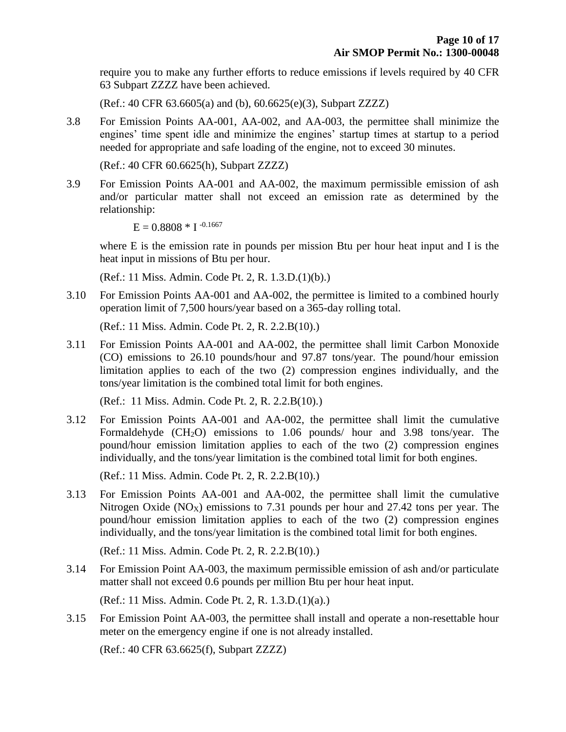require you to make any further efforts to reduce emissions if levels required by 40 CFR 63 Subpart ZZZZ have been achieved.

(Ref.: 40 CFR 63.6605(a) and (b), 60.6625(e)(3), Subpart ZZZZ)

3.8 For Emission Points AA-001, AA-002, and AA-003, the permittee shall minimize the engines' time spent idle and minimize the engines' startup times at startup to a period needed for appropriate and safe loading of the engine, not to exceed 30 minutes.

(Ref.: 40 CFR 60.6625(h), Subpart ZZZZ)

3.9 For Emission Points AA-001 and AA-002, the maximum permissible emission of ash and/or particular matter shall not exceed an emission rate as determined by the relationship:

 $E = 0.8808 * I$ <sup>-0.1667</sup>

where E is the emission rate in pounds per mission Btu per hour heat input and I is the heat input in missions of Btu per hour.

(Ref.: 11 Miss. Admin. Code Pt. 2, R. 1.3.D.(1)(b).)

3.10 For Emission Points AA-001 and AA-002, the permittee is limited to a combined hourly operation limit of 7,500 hours/year based on a 365-day rolling total.

(Ref.: 11 Miss. Admin. Code Pt. 2, R. 2.2.B(10).)

3.11 For Emission Points AA-001 and AA-002, the permittee shall limit Carbon Monoxide (CO) emissions to 26.10 pounds/hour and 97.87 tons/year. The pound/hour emission limitation applies to each of the two (2) compression engines individually, and the tons/year limitation is the combined total limit for both engines.

(Ref.: 11 Miss. Admin. Code Pt. 2, R. 2.2.B(10).)

3.12 For Emission Points AA-001 and AA-002, the permittee shall limit the cumulative Formaldehyde  $(CH_2O)$  emissions to 1.06 pounds/ hour and 3.98 tons/year. The pound/hour emission limitation applies to each of the two (2) compression engines individually, and the tons/year limitation is the combined total limit for both engines.

(Ref.: 11 Miss. Admin. Code Pt. 2, R. 2.2.B(10).)

3.13 For Emission Points AA-001 and AA-002, the permittee shall limit the cumulative Nitrogen Oxide ( $NO_X$ ) emissions to 7.31 pounds per hour and 27.42 tons per year. The pound/hour emission limitation applies to each of the two (2) compression engines individually, and the tons/year limitation is the combined total limit for both engines.

(Ref.: 11 Miss. Admin. Code Pt. 2, R. 2.2.B(10).)

3.14 For Emission Point AA-003, the maximum permissible emission of ash and/or particulate matter shall not exceed 0.6 pounds per million Btu per hour heat input.

(Ref.: 11 Miss. Admin. Code Pt. 2, R. 1.3.D.(1)(a).)

3.15 For Emission Point AA-003, the permittee shall install and operate a non-resettable hour meter on the emergency engine if one is not already installed.

(Ref.: 40 CFR 63.6625(f), Subpart ZZZZ)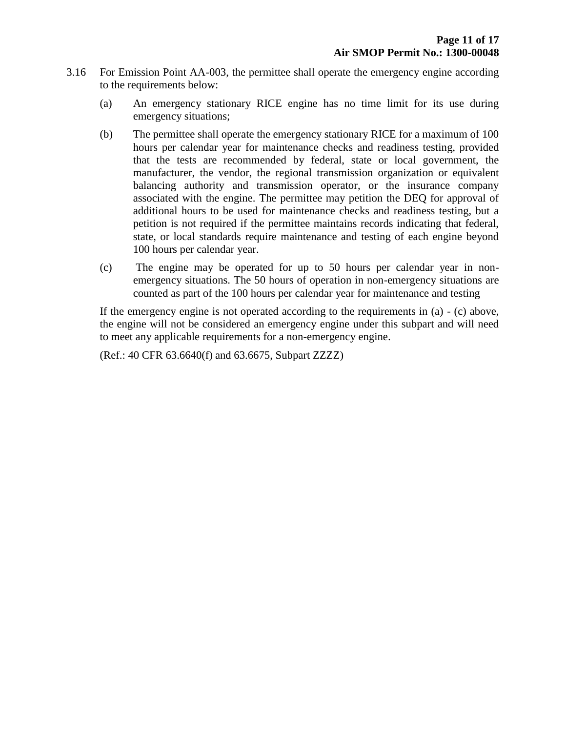- 3.16 For Emission Point AA-003, the permittee shall operate the emergency engine according to the requirements below:
	- (a) An emergency stationary RICE engine has no time limit for its use during emergency situations;
	- (b) The permittee shall operate the emergency stationary RICE for a maximum of 100 hours per calendar year for maintenance checks and readiness testing, provided that the tests are recommended by federal, state or local government, the manufacturer, the vendor, the regional transmission organization or equivalent balancing authority and transmission operator, or the insurance company associated with the engine. The permittee may petition the DEQ for approval of additional hours to be used for maintenance checks and readiness testing, but a petition is not required if the permittee maintains records indicating that federal, state, or local standards require maintenance and testing of each engine beyond 100 hours per calendar year.
	- (c) The engine may be operated for up to 50 hours per calendar year in nonemergency situations. The 50 hours of operation in non-emergency situations are counted as part of the 100 hours per calendar year for maintenance and testing

If the emergency engine is not operated according to the requirements in (a) - (c) above, the engine will not be considered an emergency engine under this subpart and will need to meet any applicable requirements for a non-emergency engine.

(Ref.: 40 CFR 63.6640(f) and 63.6675, Subpart ZZZZ)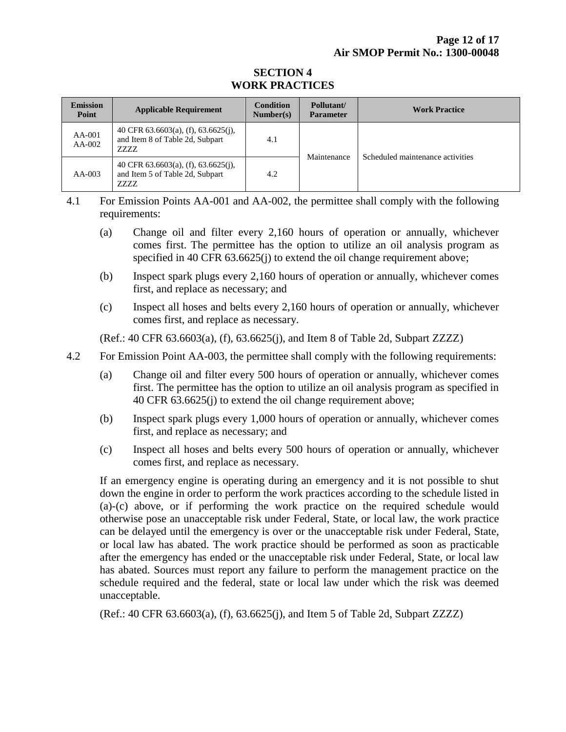#### **SECTION 4 WORK PRACTICES**

| <b>Emission</b><br>Point | <b>Applicable Requirement</b>                                                            | <b>Condition</b><br>Number(s) | Pollutant/<br><b>Parameter</b> | <b>Work Practice</b>             |
|--------------------------|------------------------------------------------------------------------------------------|-------------------------------|--------------------------------|----------------------------------|
| $AA-001$<br>$AA-002$     | 40 CFR $63.6603(a)$ , (f), $63.6625(i)$ ,<br>and Item 8 of Table 2d, Subpart<br>7.7.7.7. | 4.1                           | Maintenance                    | Scheduled maintenance activities |
| $AA-003$                 | 40 CFR $63.6603(a)$ , (f), $63.6625(i)$ ,<br>and Item 5 of Table 2d, Subpart<br>ZZZZ     | 4.2                           |                                |                                  |

4.1 For Emission Points AA-001 and AA-002, the permittee shall comply with the following requirements:

- (a) Change oil and filter every 2,160 hours of operation or annually, whichever comes first. The permittee has the option to utilize an oil analysis program as specified in 40 CFR 63.6625(j) to extend the oil change requirement above;
- (b) Inspect spark plugs every 2,160 hours of operation or annually, whichever comes first, and replace as necessary; and
- (c) Inspect all hoses and belts every 2,160 hours of operation or annually, whichever comes first, and replace as necessary.

(Ref.: 40 CFR 63.6603(a), (f), 63.6625(j), and Item 8 of Table 2d, Subpart ZZZZ)

- 4.2 For Emission Point AA-003, the permittee shall comply with the following requirements:
	- (a) Change oil and filter every 500 hours of operation or annually, whichever comes first. The permittee has the option to utilize an oil analysis program as specified in 40 CFR 63.6625(j) to extend the oil change requirement above;
	- (b) Inspect spark plugs every 1,000 hours of operation or annually, whichever comes first, and replace as necessary; and
	- (c) Inspect all hoses and belts every 500 hours of operation or annually, whichever comes first, and replace as necessary.

If an emergency engine is operating during an emergency and it is not possible to shut down the engine in order to perform the work practices according to the schedule listed in (a)-(c) above, or if performing the work practice on the required schedule would otherwise pose an unacceptable risk under Federal, State, or local law, the work practice can be delayed until the emergency is over or the unacceptable risk under Federal, State, or local law has abated. The work practice should be performed as soon as practicable after the emergency has ended or the unacceptable risk under Federal, State, or local law has abated. Sources must report any failure to perform the management practice on the schedule required and the federal, state or local law under which the risk was deemed unacceptable.

(Ref.: 40 CFR 63.6603(a), (f), 63.6625(j), and Item 5 of Table 2d, Subpart ZZZZ)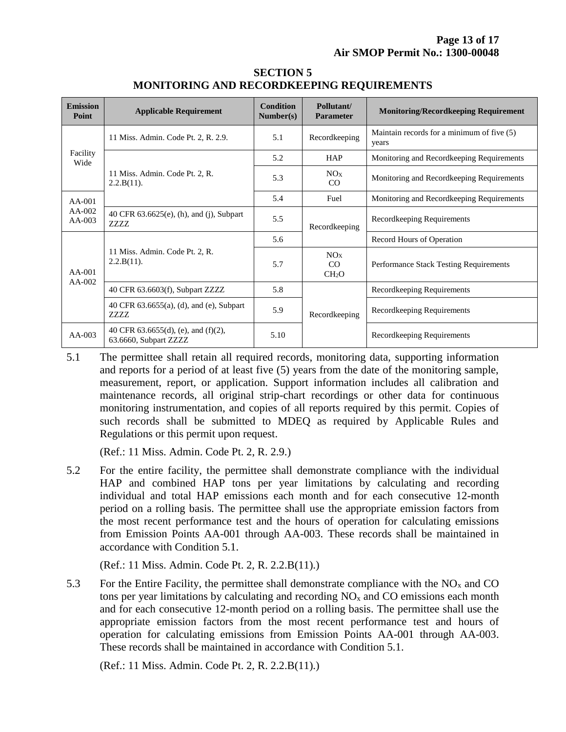| <b>Emission</b><br><b>Point</b>  | <b>Applicable Requirement</b>                                      | <b>Condition</b><br>Number(s) | Pollutant/<br><b>Parameter</b>             | <b>Monitoring/Recordkeeping Requirement</b>         |
|----------------------------------|--------------------------------------------------------------------|-------------------------------|--------------------------------------------|-----------------------------------------------------|
| Facility<br>Wide                 | 11 Miss. Admin. Code Pt. 2, R. 2.9.                                | 5.1                           | Recordkeeping                              | Maintain records for a minimum of five (5)<br>years |
|                                  | 11 Miss. Admin. Code Pt. 2, R.<br>$2.2.B(11)$ .                    | 5.2                           | <b>HAP</b>                                 | Monitoring and Recordkeeping Requirements           |
|                                  |                                                                    | 5.3                           | NOx<br>CO                                  | Monitoring and Recordkeeping Requirements           |
| $AA-001$<br>$AA-002$<br>$AA-003$ |                                                                    | 5.4                           | Fuel                                       | Monitoring and Recordkeeping Requirements           |
|                                  | 40 CFR 63.6625(e), (h), and (j), Subpart<br><b>ZZZZ</b>            | 5.5                           | Recordkeeping                              | Recordkeeping Requirements                          |
| $AA-001$<br>$AA-002$             | 11 Miss. Admin. Code Pt. 2, R.<br>$2.2.B(11)$ .                    | 5.6                           |                                            | Record Hours of Operation                           |
|                                  |                                                                    | 5.7                           | NO <sub>X</sub><br>CO<br>CH <sub>2</sub> O | <b>Performance Stack Testing Requirements</b>       |
|                                  | 40 CFR 63.6603(f), Subpart ZZZZ                                    | 5.8                           |                                            | Recordkeeping Requirements                          |
|                                  | 40 CFR 63.6655(a), (d), and (e), Subpart<br><b>ZZZZ</b>            | 5.9                           | Recordkeeping                              | Recordkeeping Requirements                          |
| $AA-003$                         | 40 CFR $63.6655(d)$ , (e), and $(f)(2)$ ,<br>63.6660, Subpart ZZZZ | 5.10                          |                                            | Recordkeeping Requirements                          |

#### **SECTION 5 MONITORING AND RECORDKEEPING REQUIREMENTS**

5.1 The permittee shall retain all required records, monitoring data, supporting information and reports for a period of at least five (5) years from the date of the monitoring sample, measurement, report, or application. Support information includes all calibration and maintenance records, all original strip-chart recordings or other data for continuous monitoring instrumentation, and copies of all reports required by this permit. Copies of such records shall be submitted to MDEQ as required by Applicable Rules and Regulations or this permit upon request.

(Ref.: 11 Miss. Admin. Code Pt. 2, R. 2.9.)

5.2 For the entire facility, the permittee shall demonstrate compliance with the individual HAP and combined HAP tons per year limitations by calculating and recording individual and total HAP emissions each month and for each consecutive 12-month period on a rolling basis. The permittee shall use the appropriate emission factors from the most recent performance test and the hours of operation for calculating emissions from Emission Points AA-001 through AA-003. These records shall be maintained in accordance with Condition 5.1.

(Ref.: 11 Miss. Admin. Code Pt. 2, R. 2.2.B(11).)

5.3 For the Entire Facility, the permittee shall demonstrate compliance with the  $NO<sub>x</sub>$  and CO tons per year limitations by calculating and recording  $NO<sub>x</sub>$  and  $CO$  emissions each month and for each consecutive 12-month period on a rolling basis. The permittee shall use the appropriate emission factors from the most recent performance test and hours of operation for calculating emissions from Emission Points AA-001 through AA-003. These records shall be maintained in accordance with Condition 5.1.

(Ref.: 11 Miss. Admin. Code Pt. 2, R. 2.2.B(11).)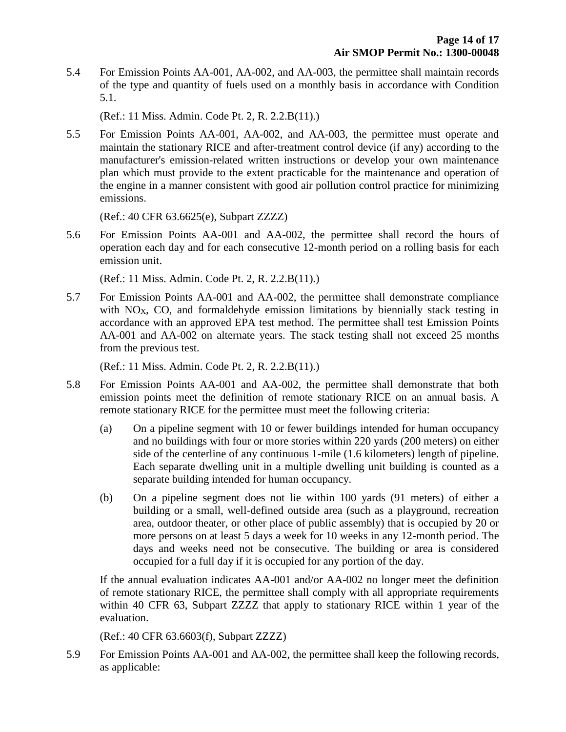5.4 For Emission Points AA-001, AA-002, and AA-003, the permittee shall maintain records of the type and quantity of fuels used on a monthly basis in accordance with Condition 5.1.

(Ref.: 11 Miss. Admin. Code Pt. 2, R. 2.2.B(11).)

5.5 For Emission Points AA-001, AA-002, and AA-003, the permittee must operate and maintain the stationary RICE and after-treatment control device (if any) according to the manufacturer's emission-related written instructions or develop your own maintenance plan which must provide to the extent practicable for the maintenance and operation of the engine in a manner consistent with good air pollution control practice for minimizing emissions.

(Ref.: 40 CFR 63.6625(e), Subpart ZZZZ)

5.6 For Emission Points AA-001 and AA-002, the permittee shall record the hours of operation each day and for each consecutive 12-month period on a rolling basis for each emission unit.

(Ref.: 11 Miss. Admin. Code Pt. 2, R. 2.2.B(11).)

5.7 For Emission Points AA-001 and AA-002, the permittee shall demonstrate compliance with  $NO<sub>X</sub>$ , CO, and formaldehyde emission limitations by biennially stack testing in accordance with an approved EPA test method. The permittee shall test Emission Points AA-001 and AA-002 on alternate years. The stack testing shall not exceed 25 months from the previous test.

(Ref.: 11 Miss. Admin. Code Pt. 2, R. 2.2.B(11).)

- 5.8 For Emission Points AA-001 and AA-002, the permittee shall demonstrate that both emission points meet the definition of remote stationary RICE on an annual basis. A remote stationary RICE for the permittee must meet the following criteria:
	- (a) On a pipeline segment with 10 or fewer buildings intended for human occupancy and no buildings with four or more stories within 220 yards (200 meters) on either side of the centerline of any continuous 1-mile (1.6 kilometers) length of pipeline. Each separate dwelling unit in a multiple dwelling unit building is counted as a separate building intended for human occupancy.
	- (b) On a pipeline segment does not lie within 100 yards (91 meters) of either a building or a small, well-defined outside area (such as a playground, recreation area, outdoor theater, or other place of public assembly) that is occupied by 20 or more persons on at least 5 days a week for 10 weeks in any 12-month period. The days and weeks need not be consecutive. The building or area is considered occupied for a full day if it is occupied for any portion of the day.

If the annual evaluation indicates AA-001 and/or AA-002 no longer meet the definition of remote stationary RICE, the permittee shall comply with all appropriate requirements within 40 CFR 63, Subpart ZZZZ that apply to stationary RICE within 1 year of the evaluation.

(Ref.: 40 CFR 63.6603(f), Subpart ZZZZ)

5.9 For Emission Points AA-001 and AA-002, the permittee shall keep the following records, as applicable: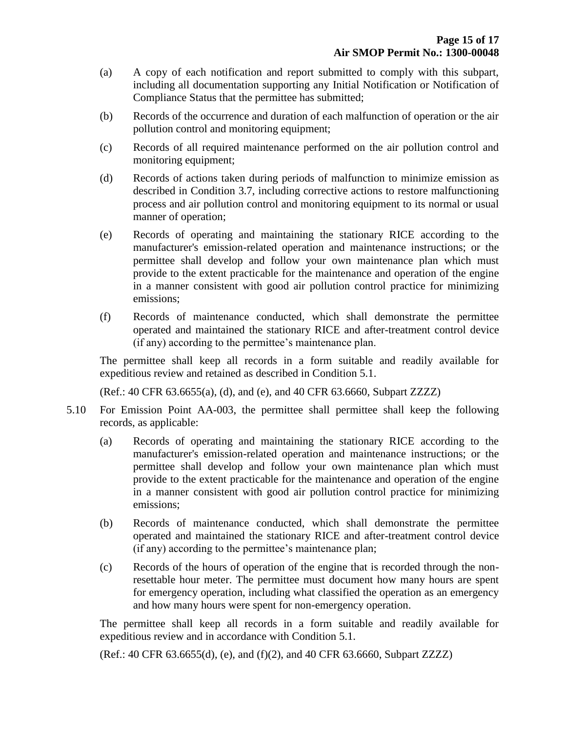- (a) A copy of each notification and report submitted to comply with this subpart, including all documentation supporting any Initial Notification or Notification of Compliance Status that the permittee has submitted;
- (b) Records of the occurrence and duration of each malfunction of operation or the air pollution control and monitoring equipment;
- (c) Records of all required maintenance performed on the air pollution control and monitoring equipment;
- (d) Records of actions taken during periods of malfunction to minimize emission as described in Condition 3.7, including corrective actions to restore malfunctioning process and air pollution control and monitoring equipment to its normal or usual manner of operation;
- (e) Records of operating and maintaining the stationary RICE according to the manufacturer's emission-related operation and maintenance instructions; or the permittee shall develop and follow your own maintenance plan which must provide to the extent practicable for the maintenance and operation of the engine in a manner consistent with good air pollution control practice for minimizing emissions;
- (f) Records of maintenance conducted, which shall demonstrate the permittee operated and maintained the stationary RICE and after-treatment control device (if any) according to the permittee's maintenance plan.

The permittee shall keep all records in a form suitable and readily available for expeditious review and retained as described in Condition 5.1.

(Ref.: 40 CFR 63.6655(a), (d), and (e), and 40 CFR 63.6660, Subpart ZZZZ)

- 5.10 For Emission Point AA-003, the permittee shall permittee shall keep the following records, as applicable:
	- (a) Records of operating and maintaining the stationary RICE according to the manufacturer's emission-related operation and maintenance instructions; or the permittee shall develop and follow your own maintenance plan which must provide to the extent practicable for the maintenance and operation of the engine in a manner consistent with good air pollution control practice for minimizing emissions;
	- (b) Records of maintenance conducted, which shall demonstrate the permittee operated and maintained the stationary RICE and after-treatment control device (if any) according to the permittee's maintenance plan;
	- (c) Records of the hours of operation of the engine that is recorded through the nonresettable hour meter. The permittee must document how many hours are spent for emergency operation, including what classified the operation as an emergency and how many hours were spent for non-emergency operation.

The permittee shall keep all records in a form suitable and readily available for expeditious review and in accordance with Condition 5.1.

(Ref.: 40 CFR 63.6655(d), (e), and (f)(2), and 40 CFR 63.6660, Subpart ZZZZ)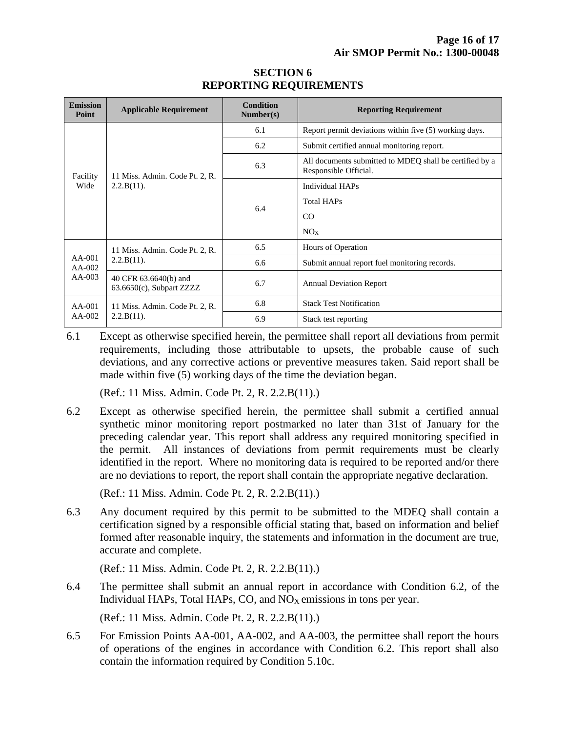| <b>Emission</b><br>Point       | <b>Applicable Requirement</b>                        | Condition<br>Number(s) | <b>Reporting Requirement</b>                                                     |  |
|--------------------------------|------------------------------------------------------|------------------------|----------------------------------------------------------------------------------|--|
| Facility<br>Wide               | 11 Miss. Admin. Code Pt. 2, R.<br>$2.2.B(11)$ .      | 6.1                    | Report permit deviations within five (5) working days.                           |  |
|                                |                                                      | 6.2                    | Submit certified annual monitoring report.                                       |  |
|                                |                                                      | 6.3                    | All documents submitted to MDEQ shall be certified by a<br>Responsible Official. |  |
|                                |                                                      | 6.4                    | <b>Individual HAPs</b>                                                           |  |
|                                |                                                      |                        | <b>Total HAPs</b>                                                                |  |
|                                |                                                      |                        | CO                                                                               |  |
|                                |                                                      |                        | NOx                                                                              |  |
| $AA-001$<br>$AA-002$<br>AA-003 | 11 Miss. Admin. Code Pt. 2, R.<br>$2.2.B(11)$ .      | 6.5                    | Hours of Operation                                                               |  |
|                                |                                                      | 6.6                    | Submit annual report fuel monitoring records.                                    |  |
|                                | 40 CFR 63.6640(b) and<br>$63.6650(c)$ , Subpart ZZZZ | 6.7                    | <b>Annual Deviation Report</b>                                                   |  |
| $AA-001$<br>$AA-002$           | 11 Miss. Admin. Code Pt. 2, R.<br>$2.2.B(11)$ .      | 6.8                    | <b>Stack Test Notification</b>                                                   |  |
|                                |                                                      | 6.9                    | Stack test reporting                                                             |  |

#### **SECTION 6 REPORTING REQUIREMENTS**

6.1 Except as otherwise specified herein, the permittee shall report all deviations from permit requirements, including those attributable to upsets, the probable cause of such deviations, and any corrective actions or preventive measures taken. Said report shall be made within five (5) working days of the time the deviation began.

(Ref.: 11 Miss. Admin. Code Pt. 2, R. 2.2.B(11).)

6.2 Except as otherwise specified herein, the permittee shall submit a certified annual synthetic minor monitoring report postmarked no later than 31st of January for the preceding calendar year. This report shall address any required monitoring specified in the permit. All instances of deviations from permit requirements must be clearly identified in the report. Where no monitoring data is required to be reported and/or there are no deviations to report, the report shall contain the appropriate negative declaration.

(Ref.: 11 Miss. Admin. Code Pt. 2, R. 2.2.B(11).)

6.3 Any document required by this permit to be submitted to the MDEQ shall contain a certification signed by a responsible official stating that, based on information and belief formed after reasonable inquiry, the statements and information in the document are true, accurate and complete.

(Ref.: 11 Miss. Admin. Code Pt. 2, R. 2.2.B(11).)

6.4 The permittee shall submit an annual report in accordance with Condition 6.2, of the Individual HAPs, Total HAPs, CO, and  $NO<sub>X</sub>$  emissions in tons per year.

(Ref.: 11 Miss. Admin. Code Pt. 2, R. 2.2.B(11).)

6.5 For Emission Points AA-001, AA-002, and AA-003, the permittee shall report the hours of operations of the engines in accordance with Condition 6.2. This report shall also contain the information required by Condition 5.10c.